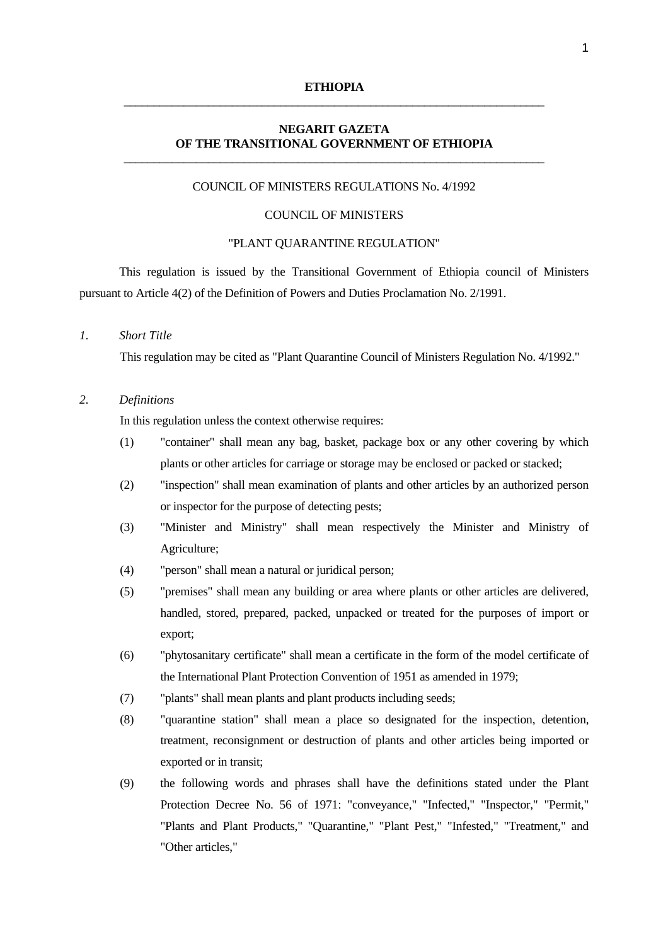#### **ETHIOPIA** \_\_\_\_\_\_\_\_\_\_\_\_\_\_\_\_\_\_\_\_\_\_\_\_\_\_\_\_\_\_\_\_\_\_\_\_\_\_\_\_\_\_\_\_\_\_\_\_\_\_\_\_\_\_\_\_\_\_\_\_\_\_\_\_\_\_\_\_\_\_

#### **NEGARIT GAZETA OF THE TRANSITIONAL GOVERNMENT OF ETHIOPIA**  \_\_\_\_\_\_\_\_\_\_\_\_\_\_\_\_\_\_\_\_\_\_\_\_\_\_\_\_\_\_\_\_\_\_\_\_\_\_\_\_\_\_\_\_\_\_\_\_\_\_\_\_\_\_\_\_\_\_\_\_\_\_\_\_\_\_\_\_\_\_

#### COUNCIL OF MINISTERS REGULATIONS No. 4/1992

#### COUNCIL OF MINISTERS

### "PLANT QUARANTINE REGULATION"

 This regulation is issued by the Transitional Government of Ethiopia council of Ministers pursuant to Article 4(2) of the Definition of Powers and Duties Proclamation No. 2/1991.

#### *1. Short Title*

This regulation may be cited as "Plant Quarantine Council of Ministers Regulation No. 4/1992."

# *2. Definitions*

In this regulation unless the context otherwise requires:

- (1) "container" shall mean any bag, basket, package box or any other covering by which plants or other articles for carriage or storage may be enclosed or packed or stacked;
- (2) "inspection" shall mean examination of plants and other articles by an authorized person or inspector for the purpose of detecting pests;
- (3) "Minister and Ministry" shall mean respectively the Minister and Ministry of Agriculture;
- (4) "person" shall mean a natural or juridical person;
- (5) "premises" shall mean any building or area where plants or other articles are delivered, handled, stored, prepared, packed, unpacked or treated for the purposes of import or export;
- (6) "phytosanitary certificate" shall mean a certificate in the form of the model certificate of the International Plant Protection Convention of 1951 as amended in 1979;
- (7) "plants" shall mean plants and plant products including seeds;
- (8) "quarantine station" shall mean a place so designated for the inspection, detention, treatment, reconsignment or destruction of plants and other articles being imported or exported or in transit;
- (9) the following words and phrases shall have the definitions stated under the Plant Protection Decree No. 56 of 1971: "conveyance," "Infected," "Inspector," "Permit," "Plants and Plant Products," "Quarantine," "Plant Pest," "Infested," "Treatment," and "Other articles,"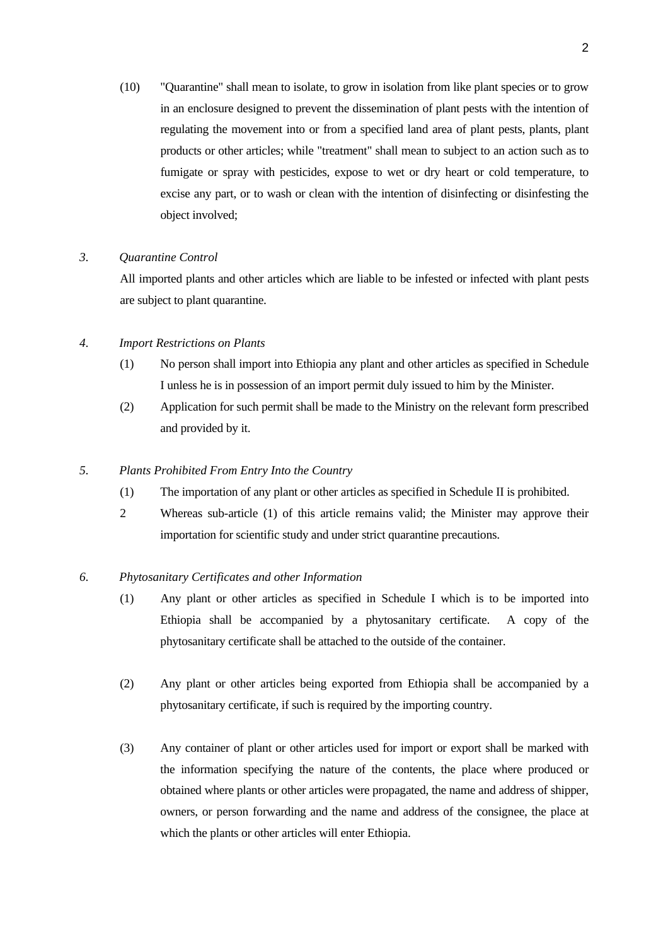(10) "Quarantine" shall mean to isolate, to grow in isolation from like plant species or to grow in an enclosure designed to prevent the dissemination of plant pests with the intention of regulating the movement into or from a specified land area of plant pests, plants, plant products or other articles; while "treatment" shall mean to subject to an action such as to fumigate or spray with pesticides, expose to wet or dry heart or cold temperature, to excise any part, or to wash or clean with the intention of disinfecting or disinfesting the object involved;

#### *3. Quarantine Control*

 All imported plants and other articles which are liable to be infested or infected with plant pests are subject to plant quarantine.

- *4. Import Restrictions on Plants* 
	- (1) No person shall import into Ethiopia any plant and other articles as specified in Schedule I unless he is in possession of an import permit duly issued to him by the Minister.
	- (2) Application for such permit shall be made to the Ministry on the relevant form prescribed and provided by it.

#### *5. Plants Prohibited From Entry Into the Country*

- (1) The importation of any plant or other articles as specified in Schedule II is prohibited.
- 2 Whereas sub-article (1) of this article remains valid; the Minister may approve their importation for scientific study and under strict quarantine precautions.

#### *6. Phytosanitary Certificates and other Information*

- (1) Any plant or other articles as specified in Schedule I which is to be imported into Ethiopia shall be accompanied by a phytosanitary certificate. A copy of the phytosanitary certificate shall be attached to the outside of the container.
- (2) Any plant or other articles being exported from Ethiopia shall be accompanied by a phytosanitary certificate, if such is required by the importing country.
- (3) Any container of plant or other articles used for import or export shall be marked with the information specifying the nature of the contents, the place where produced or obtained where plants or other articles were propagated, the name and address of shipper, owners, or person forwarding and the name and address of the consignee, the place at which the plants or other articles will enter Ethiopia.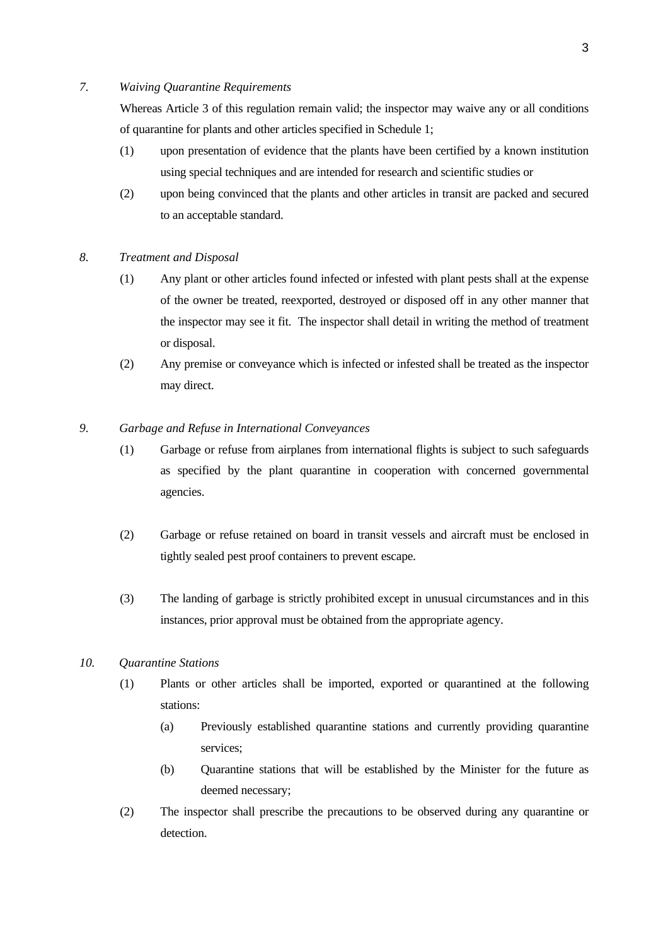#### *7. Waiving Quarantine Requirements*

 Whereas Article 3 of this regulation remain valid; the inspector may waive any or all conditions of quarantine for plants and other articles specified in Schedule 1;

- (1) upon presentation of evidence that the plants have been certified by a known institution using special techniques and are intended for research and scientific studies or
- (2) upon being convinced that the plants and other articles in transit are packed and secured to an acceptable standard.
- *8. Treatment and Disposal* 
	- (1) Any plant or other articles found infected or infested with plant pests shall at the expense of the owner be treated, reexported, destroyed or disposed off in any other manner that the inspector may see it fit. The inspector shall detail in writing the method of treatment or disposal.
	- (2) Any premise or conveyance which is infected or infested shall be treated as the inspector may direct.
- *9. Garbage and Refuse in International Conveyances* 
	- (1) Garbage or refuse from airplanes from international flights is subject to such safeguards as specified by the plant quarantine in cooperation with concerned governmental agencies.
	- (2) Garbage or refuse retained on board in transit vessels and aircraft must be enclosed in tightly sealed pest proof containers to prevent escape.
	- (3) The landing of garbage is strictly prohibited except in unusual circumstances and in this instances, prior approval must be obtained from the appropriate agency.
- *10. Quarantine Stations* 
	- (1) Plants or other articles shall be imported, exported or quarantined at the following stations:
		- (a) Previously established quarantine stations and currently providing quarantine services;
		- (b) Quarantine stations that will be established by the Minister for the future as deemed necessary;
	- (2) The inspector shall prescribe the precautions to be observed during any quarantine or detection.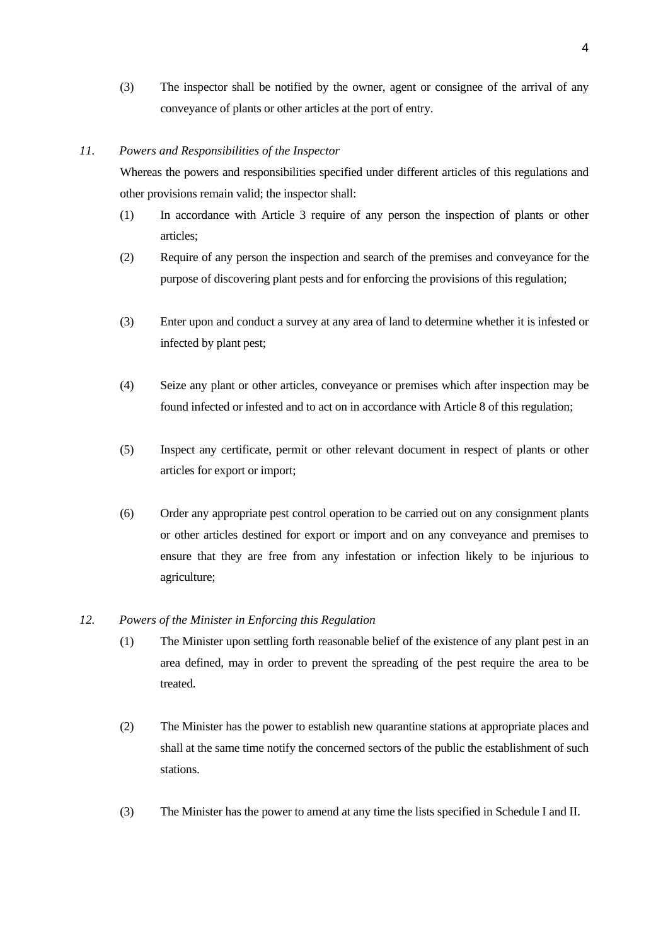(3) The inspector shall be notified by the owner, agent or consignee of the arrival of any conveyance of plants or other articles at the port of entry.

#### *11. Powers and Responsibilities of the Inspector*

 Whereas the powers and responsibilities specified under different articles of this regulations and other provisions remain valid; the inspector shall:

- (1) In accordance with Article 3 require of any person the inspection of plants or other articles;
- (2) Require of any person the inspection and search of the premises and conveyance for the purpose of discovering plant pests and for enforcing the provisions of this regulation;
- (3) Enter upon and conduct a survey at any area of land to determine whether it is infested or infected by plant pest;
- (4) Seize any plant or other articles, conveyance or premises which after inspection may be found infected or infested and to act on in accordance with Article 8 of this regulation;
- (5) Inspect any certificate, permit or other relevant document in respect of plants or other articles for export or import;
- (6) Order any appropriate pest control operation to be carried out on any consignment plants or other articles destined for export or import and on any conveyance and premises to ensure that they are free from any infestation or infection likely to be injurious to agriculture;

#### *12. Powers of the Minister in Enforcing this Regulation*

- (1) The Minister upon settling forth reasonable belief of the existence of any plant pest in an area defined, may in order to prevent the spreading of the pest require the area to be treated.
- (2) The Minister has the power to establish new quarantine stations at appropriate places and shall at the same time notify the concerned sectors of the public the establishment of such stations.
- (3) The Minister has the power to amend at any time the lists specified in Schedule I and II.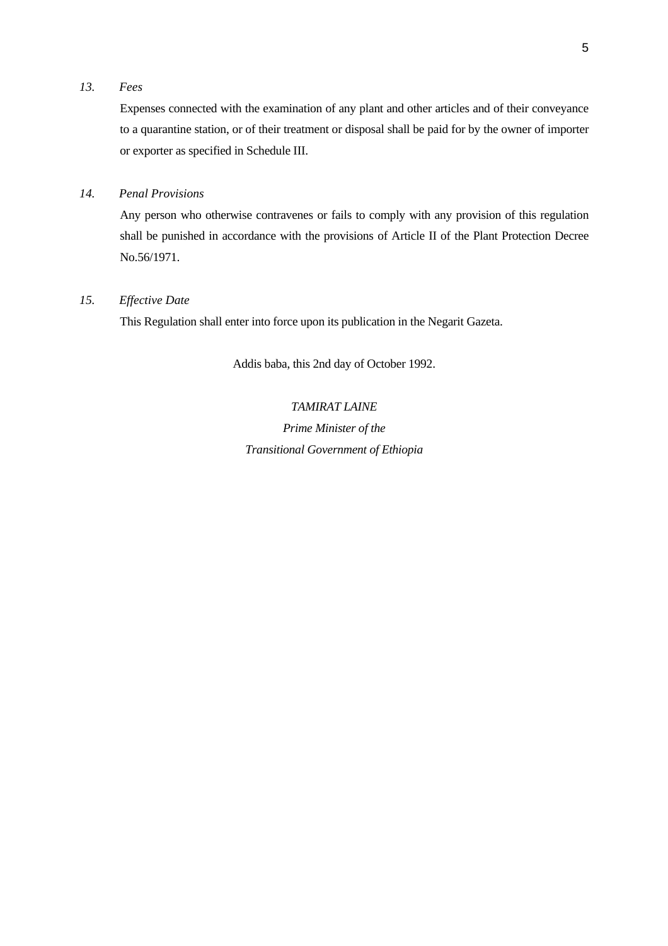# *13. Fees*

 Expenses connected with the examination of any plant and other articles and of their conveyance to a quarantine station, or of their treatment or disposal shall be paid for by the owner of importer or exporter as specified in Schedule III.

# *14. Penal Provisions*

 Any person who otherwise contravenes or fails to comply with any provision of this regulation shall be punished in accordance with the provisions of Article II of the Plant Protection Decree No.56/1971.

# *15. Effective Date*

This Regulation shall enter into force upon its publication in the Negarit Gazeta.

Addis baba, this 2nd day of October 1992.

*TAMIRAT LAINE Prime Minister of the Transitional Government of Ethiopia*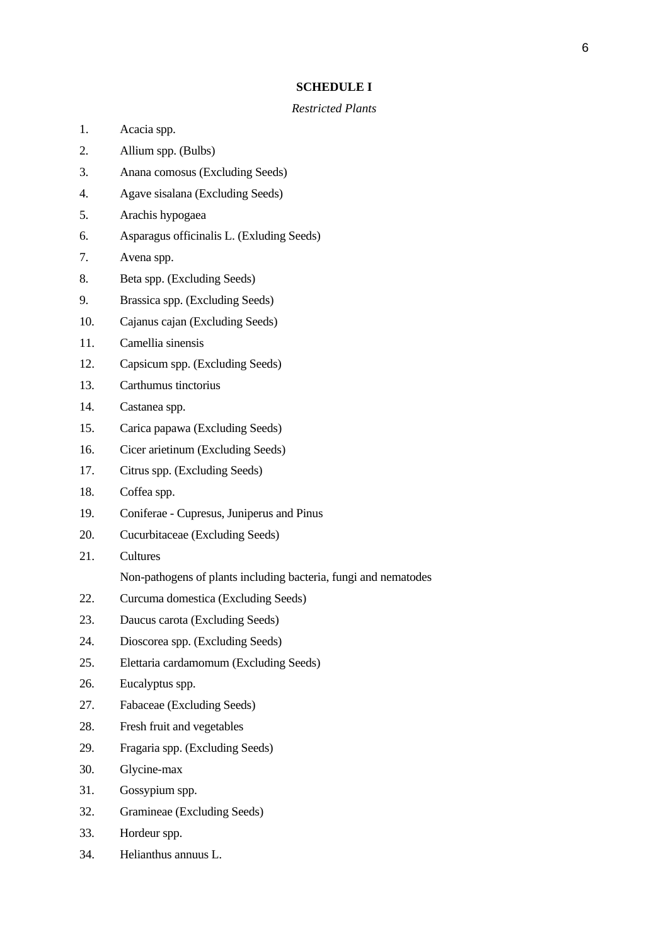#### **SCHEDULE I**

#### *Restricted Plants*

- 1. Acacia spp.
- 2. Allium spp. (Bulbs)
- 3. Anana comosus (Excluding Seeds)
- 4. Agave sisalana (Excluding Seeds)
- 5. Arachis hypogaea
- 6. Asparagus officinalis L. (Exluding Seeds)
- 7. Avena spp.
- 8. Beta spp. (Excluding Seeds)
- 9. Brassica spp. (Excluding Seeds)
- 10. Cajanus cajan (Excluding Seeds)
- 11. Camellia sinensis
- 12. Capsicum spp. (Excluding Seeds)
- 13. Carthumus tinctorius
- 14. Castanea spp.
- 15. Carica papawa (Excluding Seeds)
- 16. Cicer arietinum (Excluding Seeds)
- 17. Citrus spp. (Excluding Seeds)
- 18. Coffea spp.
- 19. Coniferae Cupresus, Juniperus and Pinus
- 20. Cucurbitaceae (Excluding Seeds)
- 21. Cultures
	- Non-pathogens of plants including bacteria, fungi and nematodes
- 22. Curcuma domestica (Excluding Seeds)
- 23. Daucus carota (Excluding Seeds)
- 24. Dioscorea spp. (Excluding Seeds)
- 25. Elettaria cardamomum (Excluding Seeds)
- 26. Eucalyptus spp.
- 27. Fabaceae (Excluding Seeds)
- 28. Fresh fruit and vegetables
- 29. Fragaria spp. (Excluding Seeds)
- 30. Glycine-max
- 31. Gossypium spp.
- 32. Gramineae (Excluding Seeds)
- 33. Hordeur spp.
- 34. Helianthus annuus L.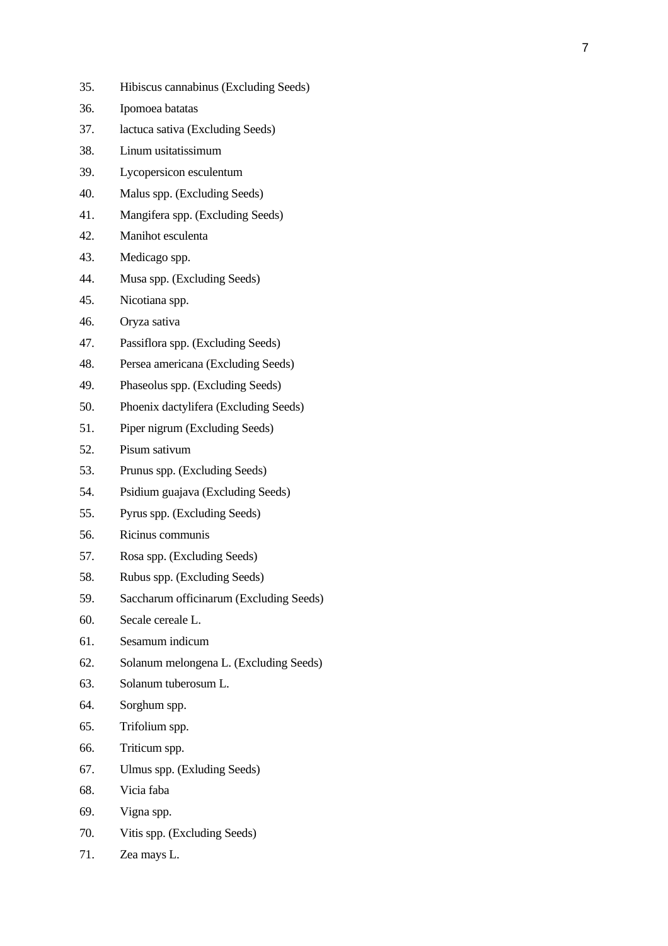- 35. Hibiscus cannabinus (Excluding Seeds)
- 36. Ipomoea batatas
- 37. lactuca sativa (Excluding Seeds)
- 38. Linum usitatissimum
- 39. Lycopersicon esculentum
- 40. Malus spp. (Excluding Seeds)
- 41. Mangifera spp. (Excluding Seeds)
- 42. Manihot esculenta
- 43. Medicago spp.
- 44. Musa spp. (Excluding Seeds)
- 45. Nicotiana spp.
- 46. Oryza sativa
- 47. Passiflora spp. (Excluding Seeds)
- 48. Persea americana (Excluding Seeds)
- 49. Phaseolus spp. (Excluding Seeds)
- 50. Phoenix dactylifera (Excluding Seeds)
- 51. Piper nigrum (Excluding Seeds)
- 52. Pisum sativum
- 53. Prunus spp. (Excluding Seeds)
- 54. Psidium guajava (Excluding Seeds)
- 55. Pyrus spp. (Excluding Seeds)
- 56. Ricinus communis
- 57. Rosa spp. (Excluding Seeds)
- 58. Rubus spp. (Excluding Seeds)
- 59. Saccharum officinarum (Excluding Seeds)
- 60. Secale cereale L.
- 61. Sesamum indicum
- 62. Solanum melongena L. (Excluding Seeds)
- 63. Solanum tuberosum L.
- 64. Sorghum spp.
- 65. Trifolium spp.
- 66. Triticum spp.
- 67. Ulmus spp. (Exluding Seeds)
- 68. Vicia faba
- 69. Vigna spp.
- 70. Vitis spp. (Excluding Seeds)
- 71. Zea mays L.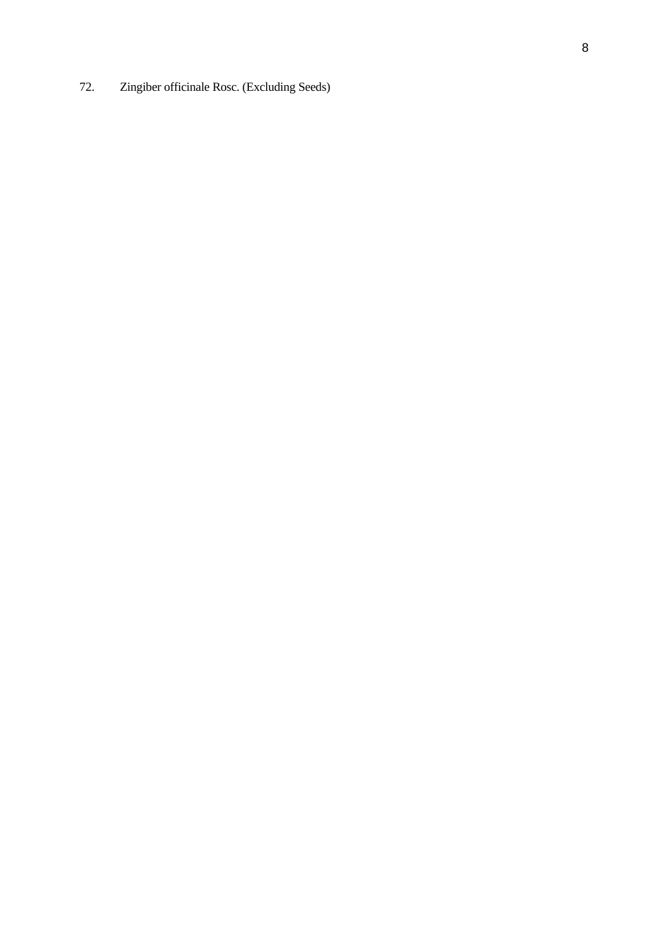72. Zingiber officinale Rosc. (Excluding Seeds)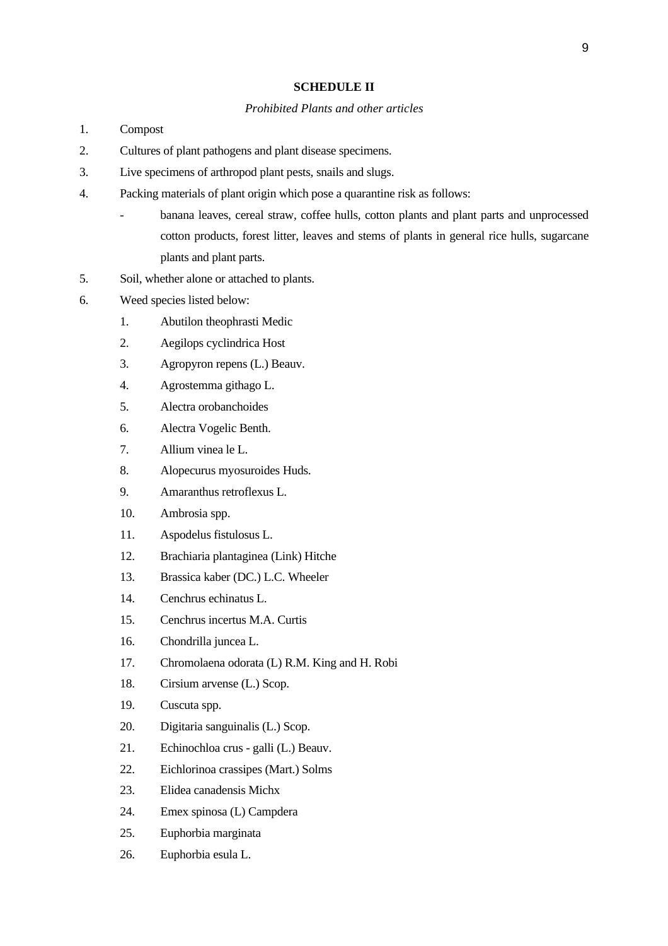#### **SCHEDULE II**

#### *Prohibited Plants and other articles*

- 1. Compost
- 2. Cultures of plant pathogens and plant disease specimens.
- 3. Live specimens of arthropod plant pests, snails and slugs.
- 4. Packing materials of plant origin which pose a quarantine risk as follows:
	- banana leaves, cereal straw, coffee hulls, cotton plants and plant parts and unprocessed cotton products, forest litter, leaves and stems of plants in general rice hulls, sugarcane plants and plant parts.
- 5. Soil, whether alone or attached to plants.
- 6. Weed species listed below:
	- 1. Abutilon theophrasti Medic
	- 2. Aegilops cyclindrica Host
	- 3. Agropyron repens (L.) Beauv.
	- 4. Agrostemma githago L.
	- 5. Alectra orobanchoides
	- 6. Alectra Vogelic Benth.
	- 7. Allium vinea le L.
	- 8. Alopecurus myosuroides Huds.
	- 9. Amaranthus retroflexus L.
	- 10. Ambrosia spp.
	- 11. Aspodelus fistulosus L.
	- 12. Brachiaria plantaginea (Link) Hitche
	- 13. Brassica kaber (DC.) L.C. Wheeler
	- 14. Cenchrus echinatus L.
	- 15. Cenchrus incertus M.A. Curtis
	- 16. Chondrilla juncea L.
	- 17. Chromolaena odorata (L) R.M. King and H. Robi
	- 18. Cirsium arvense (L.) Scop.
	- 19. Cuscuta spp.
	- 20. Digitaria sanguinalis (L.) Scop.
	- 21. Echinochloa crus galli (L.) Beauv.
	- 22. Eichlorinoa crassipes (Mart.) Solms
	- 23. Elidea canadensis Michx
	- 24. Emex spinosa (L) Campdera
	- 25. Euphorbia marginata
	- 26. Euphorbia esula L.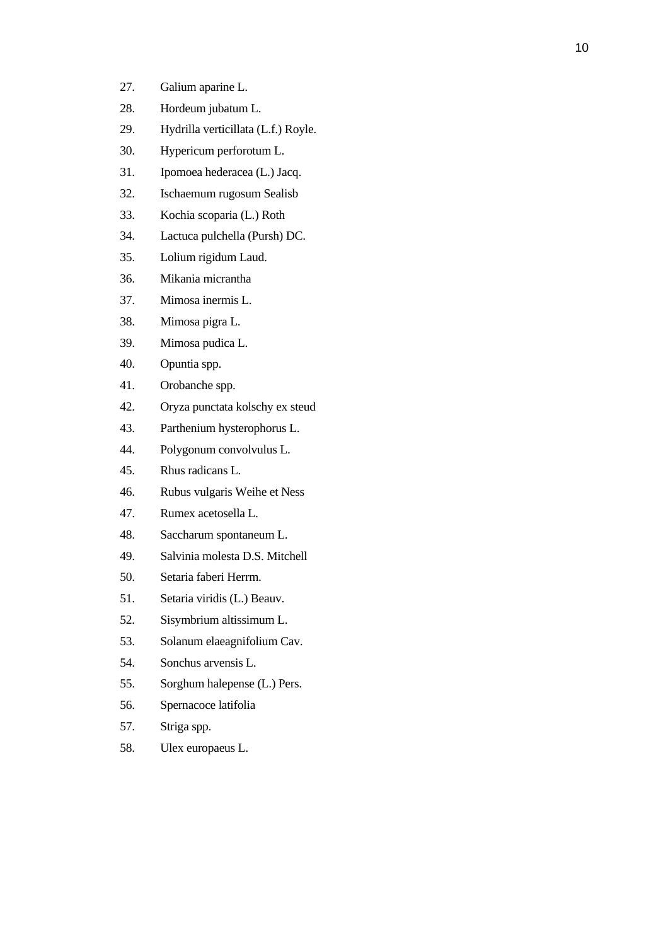| 27. | Galium aparine L.                   |
|-----|-------------------------------------|
| 28. | Hordeum jubatum L.                  |
| 29. | Hydrilla verticillata (L.f.) Royle. |
| 30. | Hypericum perforotum L.             |
| 31. | Ipomoea hederacea (L.) Jacq.        |
| 32. | Ischaemum rugosum Sealisb           |
| 33. | Kochia scoparia (L.) Roth           |
| 34. | Lactuca pulchella (Pursh) DC.       |
| 35. | Lolium rigidum Laud.                |
| 36. | Mikania micrantha                   |
| 37. | Mimosa inermis L.                   |
| 38. | Mimosa pigra L.                     |
| 39. | Mimosa pudica L.                    |
| 40. | Opuntia spp.                        |
| 41. | Orobanche spp.                      |
| 42. | Oryza punctata kolschy ex steud     |
| 43. | Parthenium hysterophorus L.         |
| 44. | Polygonum convolvulus L.            |
| 45. | Rhus radicans L.                    |
| 46. | Rubus vulgaris Weihe et Ness        |
| 47. | Rumex acetosella L.                 |
| 48. | Saccharum spontaneum L.             |
| 49. | Salvinia molesta D.S. Mitchell      |
| 50. | Setaria faberi Herrm.               |
| 51. | Setaria viridis (L.) Beauv.         |
| 52. | Sisymbrium altissimum L.            |
| 53. | Solanum elaeagnifolium Cav.         |
| 54. | Sonchus arvensis L.                 |
| 55. | Sorghum halepense (L.) Pers.        |
| 56. | Spernacoce latifolia                |
| 57. | Striga spp.                         |
| 58. | Ulex europaeus L.                   |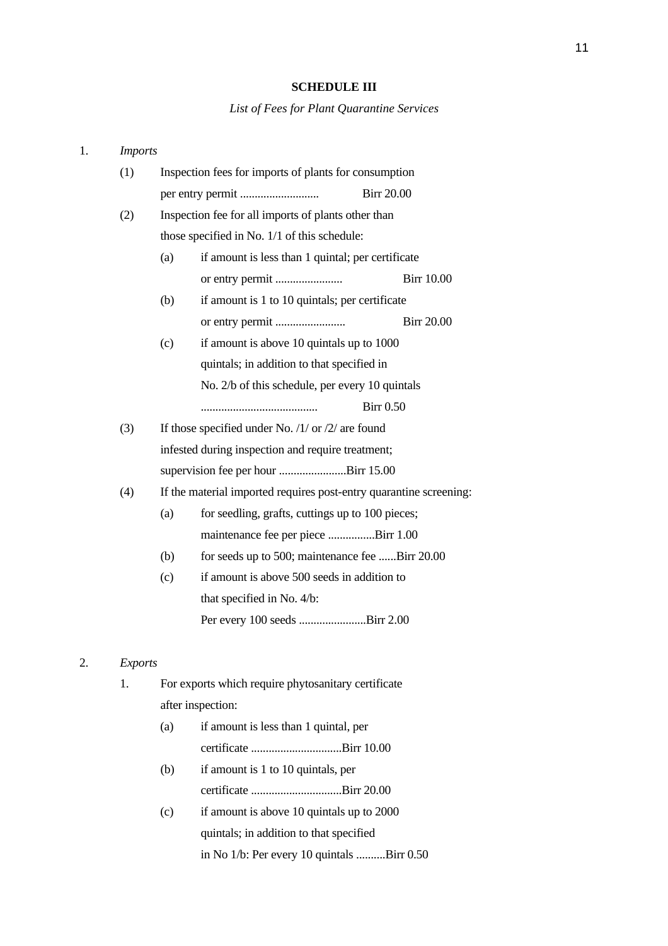#### **SCHEDULE III**

*List of Fees for Plant Quarantine Services* 

# 1. *Imports* (1) Inspection fees for imports of plants for consumption per entry permit ........................... Birr 20.00 (2) Inspection fee for all imports of plants other than those specified in No. 1/1 of this schedule: (a) if amount is less than 1 quintal; per certificate or entry permit ....................... Birr 10.00 (b) if amount is 1 to 10 quintals; per certificate or entry permit ........................ Birr 20.00 (c) if amount is above 10 quintals up to 1000 quintals; in addition to that specified in No. 2/b of this schedule, per every 10 quintals ........................................ Birr 0.50 (3) If those specified under No.  $/1/$  or  $/2/$  are found infested during inspection and require treatment; supervision fee per hour .......................Birr 15.00 (4) If the material imported requires post-entry quarantine screening: (a) for seedling, grafts, cuttings up to  $100$  pieces; maintenance fee per piece ................Birr 1.00 (b) for seeds up to 500; maintenance fee ......Birr 20.00 (c) if amount is above 500 seeds in addition to that specified in No. 4/b: Per every 100 seeds .......................Birr 2.00 2. *Exports*  1. For exports which require phytosanitary certificate

after inspection:

| (a) | if amount is less than 1 quintal, per    |  |
|-----|------------------------------------------|--|
|     |                                          |  |
|     | $(b)$ if amount is 1 to 10 quintals, per |  |

- certificate ...............................Birr 20.00
- (c) if amount is above 10 quintals up to 2000 quintals; in addition to that specified in No 1/b: Per every 10 quintals ..........Birr 0.50